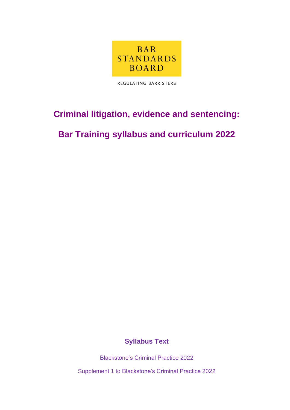

REGULATING BARRISTERS

# **Criminal litigation, evidence and sentencing:**

# **Bar Training syllabus and curriculum 2022**

### **Syllabus Text**

Blackstone's Criminal Practice 2022

Supplement 1 to Blackstone's Criminal Practice 2022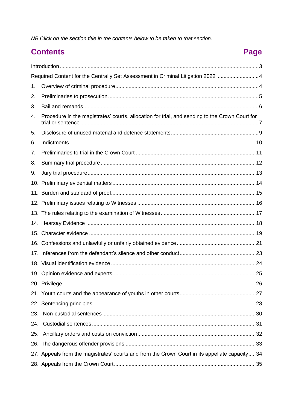NB Click on the section title in the contents below to be taken to that section.

### **Contents**

# Page

| Required Content for the Centrally Set Assessment in Criminal Litigation 20224 |                                                                                                |  |
|--------------------------------------------------------------------------------|------------------------------------------------------------------------------------------------|--|
| 1.                                                                             |                                                                                                |  |
| 2.                                                                             |                                                                                                |  |
| 3.                                                                             |                                                                                                |  |
| 4.                                                                             | Procedure in the magistrates' courts, allocation for trial, and sending to the Crown Court for |  |
| 5.                                                                             |                                                                                                |  |
| 6.                                                                             |                                                                                                |  |
| 7.                                                                             |                                                                                                |  |
| 8.                                                                             |                                                                                                |  |
| 9.                                                                             |                                                                                                |  |
|                                                                                |                                                                                                |  |
|                                                                                |                                                                                                |  |
|                                                                                |                                                                                                |  |
|                                                                                |                                                                                                |  |
|                                                                                |                                                                                                |  |
|                                                                                |                                                                                                |  |
|                                                                                |                                                                                                |  |
|                                                                                |                                                                                                |  |
|                                                                                |                                                                                                |  |
|                                                                                |                                                                                                |  |
|                                                                                |                                                                                                |  |
|                                                                                |                                                                                                |  |
|                                                                                |                                                                                                |  |
|                                                                                |                                                                                                |  |
| 24.                                                                            |                                                                                                |  |
| 25.                                                                            |                                                                                                |  |
|                                                                                |                                                                                                |  |
|                                                                                | 27. Appeals from the magistrates' courts and from the Crown Court in its appellate capacity34  |  |
|                                                                                |                                                                                                |  |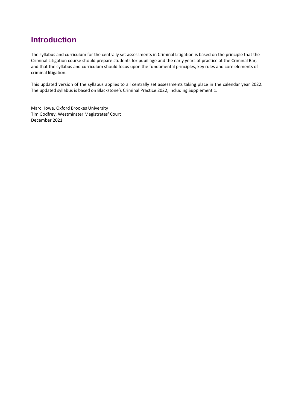### <span id="page-2-0"></span>**Introduction**

The syllabus and curriculum for the centrally set assessments in Criminal Litigation is based on the principle that the Criminal Litigation course should prepare students for pupillage and the early years of practice at the Criminal Bar, and that the syllabus and curriculum should focus upon the fundamental principles, key rules and core elements of criminal litigation.

This updated version of the syllabus applies to all centrally set assessments taking place in the calendar year 2022. The updated syllabus is based on Blackstone's Criminal Practice 2022, including Supplement 1.

Marc Howe, Oxford Brookes University Tim Godfrey, Westminster Magistrates' Court December 2021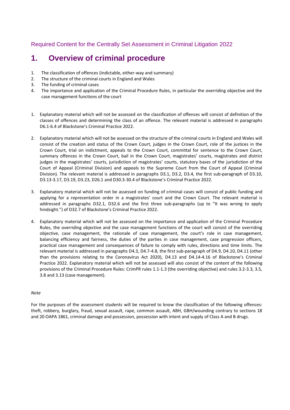<span id="page-3-0"></span>Required Content for the Centrally Set Assessment in Criminal Litigation 2022

### <span id="page-3-1"></span>**1. Overview of criminal procedure**

- 1. The classification of offences (indictable, either-way and summary)
- 2. The structure of the criminal courts in England and Wales
- 3. The funding of criminal cases
- 4. The importance and application of the Criminal Procedure Rules, in particular the overriding objective and the case management functions of the court
- 1. Explanatory material which will not be assessed on the classification of offences will consist of definition of the classes of offences and determining the class of an offence. The relevant material is addressed in paragraphs D6.1-6.4 of Blackstone's Criminal Practice 2022.
- 2. Explanatory material which will not be assessed on the structure of the criminal courts in England and Wales will consist of the creation and status of the Crown Court, judges in the Crown Court, role of the justices in the Crown Court, trial on indictment, appeals to the Crown Court, committal for sentence to the Crown Court, summary offences in the Crown Court, bail in the Crown Court, magistrates' courts, magistrates and district judges in the magistrates' courts, jurisdiction of magistrates' courts, statutory bases of the jurisdiction of the Court of Appeal (Criminal Division) and appeals to the Supreme Court from the Court of Appeal (Criminal Division). The relevant material is addressed in paragraphs D3.1, D3.2, D3.4, the first sub-paragraph of D3.10, D3.13-3.17, D3.19, D3.23, D26.1 and D30.3-30.4 of Blackstone's Criminal Practice 2022.
- 3. Explanatory material which will not be assessed on funding of criminal cases will consist of public funding and applying for a representation order in a magistrates' court and the Crown Court. The relevant material is addressed in paragraphs D32.1, D32.6 and the first three sub-paragraphs (up to "It was wrong to apply hindsight.") of D32.7 of Blackstone's Criminal Practice 2022.
- 4. Explanatory material which will not be assessed on the importance and application of the Criminal Procedure Rules, the overriding objective and the case management functions of the court will consist of the overriding objective, case management, the rationale of case management, the court's role in case management, balancing efficiency and fairness, the duties of the parties in case management, case progression officers, practical case management and consequences of failure to comply with rules, directions and time limits. The relevant material is addressed in paragraphs D4.3, D4.7-4.8, the first sub-paragraph of D4.9, D4.10, D4.11 (other than the provisions relating to the Coronavirus Act 2020), D4.13 and D4.14-4.16 of Blackstone's Criminal Practice 2022. Explanatory material which will not be assessed will also consist of the content of the following provisions of the Criminal Procedure Rules: CrimPR rules 1.1-1.3 (the overriding objective) and rules 3.2-3.3, 3.5, 3.8 and 3.13 (case management).

#### *Note*

For the purposes of the assessment students will be required to know the classification of the following offences: theft, robbery, burglary, fraud, sexual assault, rape, common assault, ABH, GBH/wounding contrary to sections 18 and 20 OAPA 1861, criminal damage and possession, possession with intent and supply of Class A and B drugs.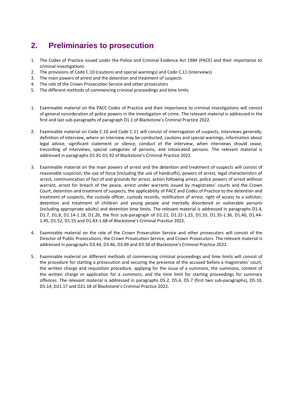### <span id="page-4-0"></span>**2. Preliminaries to prosecution**

- 1. The Codes of Practice issued under the Police and Criminal Evidence Act 1984 (PACE) and their importance to criminal investigations
- 2. The provisions of Code C.10 (cautions and special warnings) and Code C.11 (interviews)
- 3. The main powers of arrest and the detention and treatment of suspects
- 4. The role of the Crown Prosecution Service and other prosecutors
- 5. The different methods of commencing criminal proceedings and time limits
- 1. Examinable material on the PACE Codes of Practice and their importance to criminal investigations will consist of general consideration of police powers in the investigation of crime. The relevant material is addressed in the first and last sub-paragraphs of paragraph D1.1 of Blackstone's Criminal Practice 2022.
- 2. Examinable material on Code C.10 and Code C.11 will consist of interrogation of suspects, interviews generally, definition of interview, where an interview may be conducted, cautions and special warnings, information about legal advice, significant statement or silence, conduct of the interview, when interviews should cease, trecording of interviews, special categories of persons, and intoxicated persons. The relevant material is addressed in paragraphs D1.81-D1.92 of Blackstone's Criminal Practice 2022.
- 3. Examinable material on the main powers of arrest and the detention and treatment of suspects will consist of reasonable suspicion, the use of force (including the use of handcuffs), powers of arrest, legal characteristics of arrest, communication of fact of and grounds for arrest, action following arrest, police powers of arrest without warrant, arrest for breach of the peace, arrest under warrants issued by magistrates' courts and the Crown Court, detention and treatment of suspects, the applicability of PACE and Codes of Practice to the detention and treatment of suspects, the custody officer, custody records, notification of arrest, right of access to a solicitor, detention and treatment of children and young people and mentally disordered or vulnerable persons (including appropriate adults) and detention time limits. The relevant material is addressed in paragraphs D1.4, D1.7, D1.8, D1.14-1.18, D1.20, the first sub-paragraph of D1.21, D1.22-1.23, D1.33, D1.35-1.36, D1.40, D1.44- 1.45, D1.52, D1.55 and D1.63-1.68 of Blackstone's Criminal Practice 2022.
- 4. Examinable material on the role of the Crown Prosecution Service and other prosecutors will consist of the Director of Public Prosecutions, the Crown Prosecution Service, and Crown Prosecutors. The relevant material is addressed in paragraphs D3.44, D3.46, D3.49 and D3.50 of Blackstone's Criminal Practice 2022.
- 5. Examinable material on different methods of commencing criminal proceedings and time limits will consist of the procedure for starting a prosecution and securing the presence of the accused before a magistrates' court, the written charge and requisition procedure, applying for the issue of a summons, the summons, content of the written charge or application for a summons, and the time limit for starting proceedings for summary offences. The relevant material is addressed in paragraphs D5.2, D5.4, D5.7 (first two sub-paragraphs), D5.10, D5.14, D21.17 and D21.18 of Blackstone's Criminal Practice 2022.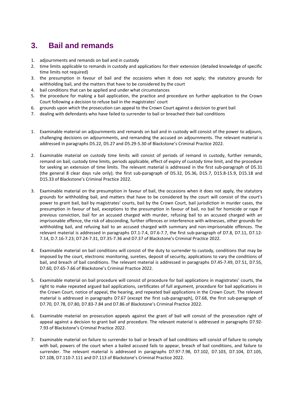### <span id="page-5-0"></span>**3. Bail and remands**

- 1. adjournments and remands on bail and in custody
- 2. time limits applicable to remands in custody and applications for their extension (detailed knowledge of specific time limits not required)
- 3. the presumption in favour of bail and the occasions when it does not apply; the statutory grounds for withholding bail, and the matters that have to be considered by the court
- 4. bail conditions that can be applied and under what circumstances
- 5. the procedure for making a bail application, the practice and procedure on further application to the Crown Court following a decision to refuse bail in the magistrates' court
- 6. grounds upon which the prosecution can appeal to the Crown Court against a decision to grant bail
- 7. dealing with defendants who have failed to surrender to bail or breached their bail conditions
- 1. Examinable material on adjournments and remands on bail and in custody will consist of the power to adjourn, challenging decisions on adjournments, and remanding the accused on adjournments. The relevant material is addressed in paragraphs D5.22, D5.27 and D5.29-5.30 of Blackstone's Criminal Practice 2022.
- 2. Examinable material on custody time limits will consist of periods of remand in custody, further remands, remand on bail, custody time limits, periods applicable, effect of expiry of custody time limit, and the procedure for seeking an extension of time limits. The relevant material is addressed in the first sub-paragraph of D5.31 (the general 8 clear days rule only); the first sub-paragraph of D5.32, D5.36, D15.7, D15.8-15.9, D15.18 and D15.33 of Blackstone's Criminal Practice 2022.
- 3. Examinable material on the presumption in favour of bail, the occasions when it does not apply, the statutory grounds for withholding bail, and matters that have to be considered by the court will consist of the court's power to grant bail, bail by magistrates' courts, bail by the Crown Court, bail jurisdiction in murder cases, the presumption in favour of bail, exceptions to the presumption in favour of bail, no bail for homicide or rape if previous conviction, bail for an accused charged with murder, refusing bail to an accused charged with an imprisonable offence, the risk of absconding, further offences or interference with witnesses, other grounds for withholding bail, and refusing bail to an accused charged with summary and non-imprisonable offences. The relevant material is addressed in paragraphs D7.1-7.4, D7.6-7.7, the first sub-paragraph of D7.8, D7.11, D7.12- 7.14, D.7.16-7.23; D7.24-7.31, D7.35-7.36 and D7.37 of Blackstone's Criminal Practice 2022.
- 4. Examinable material on bail conditions will consist of the duty to surrender to custody, conditions that may be imposed by the court, electronic monitoring, sureties, deposit of security, applications to vary the conditions of bail, and breach of bail conditions. The relevant material is addressed in paragraphs D7.45-7.49, D7.51, D7.55, D7.60, D7.65-7.66 of Blackstone's Criminal Practice 2022.
- 5. Examinable material on bail procedure will consist of procedure for bail applications in magistrates' courts, the right to make repeated argued bail applications, certificates of full argument, procedure for bail applications in the Crown Court, notice of appeal, the hearing, and repeated bail applications in the Crown Court. The relevant material is addressed in paragraphs D7.67 (except the first sub-paragraph), D7.68, the first sub-paragraph of D7.70, D7.78, D7.80, D7.83-7.84 and D7.86 of Blackstone's Criminal Practice 2022.
- 6. Examinable material on prosecution appeals against the grant of bail will consist of the prosecution right of appeal against a decision to grant bail and procedure. The relevant material is addressed in paragraphs D7.92- 7.93 of Blackstone's Criminal Practice 2022.
- 7. Examinable material on failure to surrender to bail or breach of bail conditions will consist of failure to comply with bail, powers of the court when a bailed accused fails to appear, breach of bail conditions, and failure to surrender. The relevant material is addressed in paragraphs D7.97-7.98, D7.102, D7.103, D7.104, D7.105, D7.108, D7.110-7.111 and D7.113 of Blackstone's Criminal Practice 2022.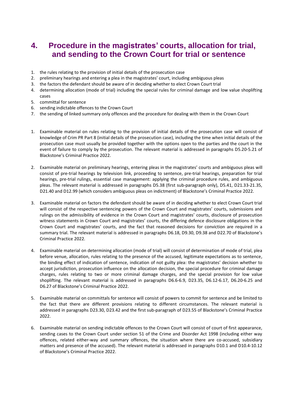### <span id="page-6-0"></span>**4. Procedure in the magistrates' courts, allocation for trial, and sending to the Crown Court for trial or sentence**

- 1. the rules relating to the provision of initial details of the prosecution case
- 2. preliminary hearings and entering a plea in the magistrates' court, including ambiguous pleas
- 3. the factors the defendant should be aware of in deciding whether to elect Crown Court trial
- 4. determining allocation (mode of trial) including the special rules for criminal damage and low value shoplifting cases
- 5. committal for sentence
- 6. sending indictable offences to the Crown Court
- 7. the sending of linked summary only offences and the procedure for dealing with them in the Crown Court
- 1. Examinable material on rules relating to the provision of initial details of the prosecution case will consist of knowledge of Crim PR Part 8 (initial details of the prosecution case), including the time when initial details of the prosecution case must usually be provided together with the options open to the parties and the court in the event of failure to comply by the prosecution. The relevant material is addressed in paragraphs D5.20-5.21 of Blackstone's Criminal Practice 2022.
- 2. Examinable material on preliminary hearings, entering pleas in the magistrates' courts and ambiguous pleas will consist of pre-trial hearings by television link, proceeding to sentence, pre-trial hearings, preparation for trial hearings, pre-trial rulings, essential case management: applying the criminal procedure rules, and ambiguous pleas. The relevant material is addressed in paragraphs D5.38 (first sub-paragraph only), D5.41, D21.33-21.35, D21.40 and D12.99 (which considers ambiguous pleas on indictment) of Blackstone's Criminal Practice 2022.
- 3. Examinable material on factors the defendant should be aware of in deciding whether to elect Crown Court trial will consist of the respective sentencing powers of the Crown Court and magistrates' courts, submissions and rulings on the admissibility of evidence in the Crown Court and magistrates' courts, disclosure of prosecution witness statements in Crown Court and magistrates' courts, the differing defence disclosure obligations in the Crown Court and magistrates' courts, and the fact that reasoned decisions for conviction are required in a summary trial. The relevant material is addressed in paragraphs D6.18, D9.30, D9.38 and D22.70 of Blackstone's Criminal Practice 2022.
- 4. Examinable material on determining allocation (mode of trial) will consist of determination of mode of trial, plea before venue, allocation, rules relating to the presence of the accused, legitimate expectations as to sentence, the binding effect of indication of sentence, indication of not guilty plea: the magistrates' decision whether to accept jurisdiction, prosecution influence on the allocation decision, the special procedure for criminal damage charges, rules relating to two or more criminal damage charges, and the special provision for low value shoplifting. The relevant material is addressed in paragraphs D6.6-6.9, D23.35, D6.12-6.17, D6.20-6.25 and D6.27 of Blackstone's Criminal Practice 2022.
- 5. Examinable material on committals for sentence will consist of powers to commit for sentence and be limited to the fact that there are different provisions relating to different circumstances. The relevant material is addressed in paragraphs D23.30, D23.42 and the first sub-paragraph of D23.55 of Blackstone's Criminal Practice 2022.
- 6. Examinable material on sending indictable offences to the Crown Court will consist of court of first appearance, sending cases to the Crown Court under section 51 of the Crime and Disorder Act 1998 (including either way offences, related either-way and summary offences, the situation where there are co-accused, subsidiary matters and presence of the accused). The relevant material is addressed in paragraphs D10.1 and D10.4-10.12 of Blackstone's Criminal Practice 2022.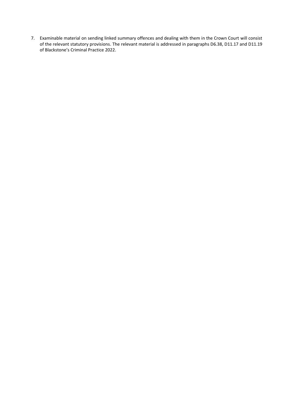7. Examinable material on sending linked summary offences and dealing with them in the Crown Court will consist of the relevant statutory provisions. The relevant material is addressed in paragraphs D6.38, D11.17 and D11.19 of Blackstone's Criminal Practice 2022.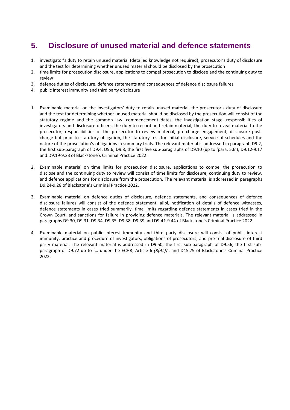### <span id="page-8-0"></span>**5. Disclosure of unused material and defence statements**

- 1. investigator's duty to retain unused material (detailed knowledge not required), prosecutor's duty of disclosure and the test for determining whether unused material should be disclosed by the prosecution
- 2. time limits for prosecution disclosure, applications to compel prosecution to disclose and the continuing duty to review
- 3. defence duties of disclosure, defence statements and consequences of defence disclosure failures
- 4. public interest immunity and third party disclosure
- 1. Examinable material on the investigators' duty to retain unused material, the prosecutor's duty of disclosure and the test for determining whether unused material should be disclosed by the prosecution will consist of the statutory regime and the common law, commencement dates, the investigation stage, responsibilities of investigators and disclosure officers, the duty to record and retain material, the duty to reveal material to the prosecutor, responsibilities of the prosecutor to review material, pre-charge engagement, disclosure postcharge but prior to statutory obligation, the statutory test for initial disclosure, service of schedules and the nature of the prosecution's obligations in summary trials. The relevant material is addressed in paragraph D9.2, the first sub-paragraph of D9.4, D9.6, D9.8, the first five sub-paragraphs of D9.10 (up to 'para. 5.6'), D9.12-9.17 and D9.19-9.23 of Blackstone's Criminal Practice 2022.
- 2. Examinable material on time limits for prosecution disclosure, applications to compel the prosecution to disclose and the continuing duty to review will consist of time limits for disclosure, continuing duty to review, and defence applications for disclosure from the prosecution. The relevant material is addressed in paragraphs D9.24-9.28 of Blackstone's Criminal Practice 2022.
- 3. Examinable material on defence duties of disclosure, defence statements, and consequences of defence disclosure failures will consist of the defence statement, alibi, notification of details of defence witnesses, defence statements in cases tried summarily, time limits regarding defence statements in cases tried in the Crown Court, and sanctions for failure in providing defence materials. The relevant material is addressed in paragraphs D9.30, D9.31, D9.34, D9.35, D9.38, D9.39 and D9.41-9.44 of Blackstone's Criminal Practice 2022.
- 4. Examinable material on public interest immunity and third party disclosure will consist of public interest immunity, practice and procedure of investigators, obligations of prosecutors, and pre-trial disclosure of third party material. The relevant material is addressed in D9.50, the first sub-paragraph of D9.56, the first subparagraph of D9.72 up to '… under the ECHR, Article 6 *(R(AL))*', and D15.79 of Blackstone's Criminal Practice 2022.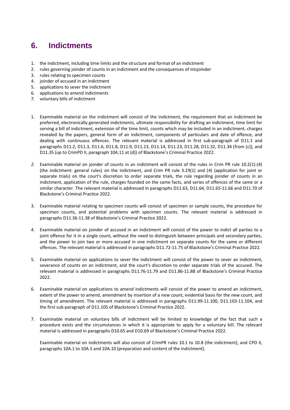### <span id="page-9-0"></span>**6. Indictments**

- 1. the indictment, including time limits and the structure and format of an indictment
- 2. rules governing joinder of counts in an indictment and the consequences of misjoinder
- 3. rules relating to specimen counts
- 4. joinder of accused in an indictment
- 5. applications to sever the indictment
- 6. applications to amend indictments
- 7. voluntary bills of indictment
- 1. Examinable material on the indictment will consist of the indictment, the requirement that an indictment be preferred, electronically generated indictments, ultimate responsibility for drafting an indictment, time limit for serving a bill of indictment, extension of the time limit, counts which may be included in an indictment, charges revealed by the papers, general form of an indictment, components of particulars and date of offence, and dealing with continuous offences. The relevant material is addressed in first sub-paragraph of D11.1 and paragraphs D11.2, D11.3, D11.6, D11.8, D11.9, D11.13, D11.14, D11.23, D11.28, D11.32, D11.34 (from (c)), and D11.35 (up to CrimPD II, paragraph 10A.11 at (d)) of Blackstone's Criminal Practice 2022.
- *2.* Examinable material on joinder of counts in an indictment will consist of the rules in Crim PR rule 10.2(1)-(4) (the indictment: general rules) on the indictment, and Crim PR rule 3.29(1) and (4) (application for joint or separate trials) on the court's discretion to order separate trials, the rule regarding joinder of counts in an indictment, application of the rule, charges founded on the same facts, and series of offences of the same or a similar character. The relevant material is addressed in paragraphs D11.63, D11.64, D11.65-11.66 and D11.70 of Blackstone's Criminal Practice 2022.
- 3. Examinable material relating to specimen counts will consist of specimen or sample counts, the procedure for specimen counts, and potential problems with specimen counts. The relevant material is addressed in paragraphs D11.36-11.38 of Blackstone's Criminal Practice 2022.
- 4. Examinable material on joinder of accused in an indictment will consist of the power to indict all parties to a joint offence for it in a single count, without the need to distinguish between principals and secondary parties, and the power to join two or more accused in one indictment on separate counts for the same or different offences. The relevant material is addressed in paragraphs D11.72-11.75 of Blackstone's Criminal Practice 2022.
- 5. Examinable material on applications to sever the indictment will consist of the power to sever an indictment, severance of counts on an indictment, and the court's discretion to order separate trials of the accused. The relevant material is addressed in paragraphs D11.76-11.79 and D11.86-11.88 of Blackstone's Criminal Practice 2022.
- 6. Examinable material on applications to amend indictments will consist of the power to amend an indictment, extent of the power to amend, amendment by insertion of a new count, evidential basis for the new count, and timing of amendment. The relevant material is addressed in paragraphs D11.99-11.100, D11.103-11.104, and the first sub-paragraph of D11.105 of Blackstone's Criminal Practice 2022.
- 7. Examinable material on voluntary bills of indictment will be limited to knowledge of the fact that such a procedure exists and the circumstances in which it is appropriate to apply for a voluntary bill. The relevant material is addressed in paragraphs D10.65 and D10.69 of Blackstone's Criminal Practice 2022.

Examinable material on indictments will also consist of CrimPR rules 10.1 to 10.8 (the indictment), and CPD II, paragraphs 10A.1 to 10A.5 and 10A.10 (preparation and content of the indictment).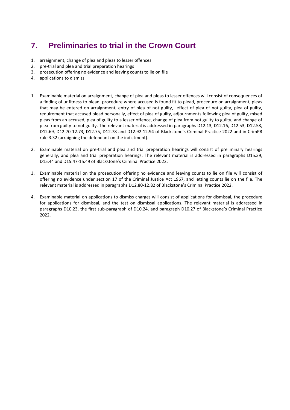## <span id="page-10-0"></span>**7. Preliminaries to trial in the Crown Court**

- 1. arraignment, change of plea and pleas to lesser offences
- 2. pre-trial and plea and trial preparation hearings
- 3. prosecution offering no evidence and leaving counts to lie on file
- 4. applications to dismiss
- 1. Examinable material on arraignment, change of plea and pleas to lesser offences will consist of consequences of a finding of unfitness to plead, procedure where accused is found fit to plead, procedure on arraignment, pleas that may be entered on arraignment, entry of plea of not guilty, effect of plea of not guilty, plea of guilty, requirement that accused plead personally, effect of plea of guilty, adjournments following plea of guilty, mixed pleas from an accused, plea of guilty to a lesser offence, change of plea from not guilty to guilty, and change of plea from guilty to not guilty. The relevant material is addressed in paragraphs D12.13, D12.16, D12.53, D12.58, D12.69, D12.70-12.73, D12.75, D12.78 and D12.92-12.94 of Blackstone's Criminal Practice 2022 and in CrimPR rule 3.32 (arraigning the defendant on the indictment).
- 2. Examinable material on pre-trial and plea and trial preparation hearings will consist of preliminary hearings generally, and plea and trial preparation hearings. The relevant material is addressed in paragraphs D15.39, D15.44 and D15.47-15.49 of Blackstone's Criminal Practice 2022.
- 3. Examinable material on the prosecution offering no evidence and leaving counts to lie on file will consist of offering no evidence under section 17 of the Criminal Justice Act 1967, and letting counts lie on the file. The relevant material is addressed in paragraphs D12.80-12.82 of Blackstone's Criminal Practice 2022.
- 4. Examinable material on applications to dismiss charges will consist of applications for dismissal, the procedure for applications for dismissal, and the test on dismissal applications. The relevant material is addressed in paragraphs D10.23, the first sub-paragraph of D10.24, and paragraph D10.27 of Blackstone's Criminal Practice 2022.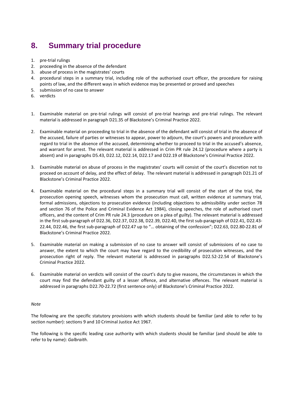### <span id="page-11-0"></span>**8. Summary trial procedure**

- 1. pre-trial rulings
- 2. proceeding in the absence of the defendant
- 3. abuse of process in the magistrates' courts
- 4. procedural steps in a summary trial, including role of the authorised court officer, the procedure for raising points of law, and the different ways in which evidence may be presented or proved and speeches
- 5. submission of no case to answer
- 6. verdicts
- 1. Examinable material on pre-trial rulings will consist of pre-trial hearings and pre-trial rulings. The relevant material is addressed in paragraph D21.35 of Blackstone's Criminal Practice 2022.
- 2. Examinable material on proceeding to trial in the absence of the defendant will consist of trial in the absence of the accused, failure of parties or witnesses to appear, power to adjourn, the court's powers and procedure with regard to trial in the absence of the accused, determining whether to proceed to trial in the accused's absence, and warrant for arrest. The relevant material is addressed in Crim PR rule 24.12 (procedure where a party is absent) and in paragraphs D5.43, D22.12, D22.14, D22.17 and D22.19 of Blackstone's Criminal Practice 2022.
- 3. Examinable material on abuse of process in the magistrates' courts will consist of the court's discretion not to proceed on account of delay, and the effect of delay. The relevant material is addressed in paragraph D21.21 of Blackstone's Criminal Practice 2022.
- 4. Examinable material on the procedural steps in a summary trial will consist of the start of the trial, the prosecution opening speech, witnesses whom the prosecution must call, written evidence at summary trial, formal admissions, objections to prosecution evidence (including objections to admissibility under section 78 and section 76 of the Police and Criminal Evidence Act 1984), closing speeches, the role of authorised court officers, and the content of Crim PR rule 24.3 (procedure on a plea of guilty). The relevant material is addressed in the first sub-paragraph of D22.36, D22.37, D22.38, D22.39, D22.40, the first sub-paragraph of D22.41, D22.43- 22.44, D22.46, the first sub-paragraph of D22.47 up to "… obtaining of the confession"; D22.63, D22.80-22.81 of Blackstone's Criminal Practice 2022.
- 5. Examinable material on making a submission of no case to answer will consist of submissions of no case to answer, the extent to which the court may have regard to the credibility of prosecution witnesses, and the prosecution right of reply. The relevant material is addressed in paragraphs D22.52-22.54 of Blackstone's Criminal Practice 2022.
- 6. Examinable material on verdicts will consist of the court's duty to give reasons, the circumstances in which the court may find the defendant guilty of a lesser offence, and alternative offences. The relevant material is addressed in paragraphs D22.70-22.72 (first sentence only) of Blackstone's Criminal Practice 2022.

#### *Note*

The following are the specific statutory provisions with which students should be familiar (and able to refer to by section number): sections 9 and 10 Criminal Justice Act 1967.

The following is the specific leading case authority with which students should be familiar (and should be able to refer to by name): *Galbraith.*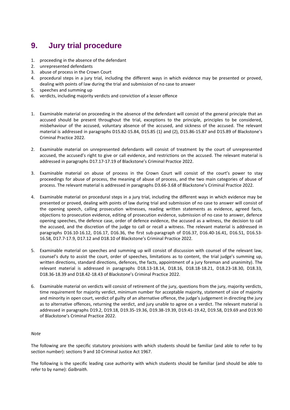### <span id="page-12-0"></span>**9. Jury trial procedure**

- 1. proceeding in the absence of the defendant
- 2. unrepresented defendants
- 3. abuse of process in the Crown Court
- 4. procedural steps in a jury trial, including the different ways in which evidence may be presented or proved, dealing with points of law during the trial and submission of no case to answer
- 5. speeches and summing up
- 6. verdicts, including majority verdicts and conviction of a lesser offence
- 1. Examinable material on proceeding in the absence of the defendant will consist of the general principle that an accused should be present throughout the trial, exceptions to the principle, principles to be considered, misbehaviour of the accused, voluntary absence of the accused, and sickness of the accused. The relevant material is addressed in paragraphs D15.82-15.84, D15.85 (1) and (2), D15.86-15.87 and D15.89 of Blackstone's Criminal Practice 2022.
- 2. Examinable material on unrepresented defendants will consist of treatment by the court of unrepresented accused, the accused's right to give or call evidence, and restrictions on the accused. The relevant material is addressed in paragraphs D17.17-17.19 of Blackstone's Criminal Practice 2022.
- 3. Examinable material on abuse of process in the Crown Court will consist of the court's power to stay proceedings for abuse of process, the meaning of abuse of process, and the two main categories of abuse of process. The relevant material is addressed in paragraphs D3.66-3.68 of Blackstone's Criminal Practice 2022.
- 4. Examinable material on procedural steps in a jury trial, including the different ways in which evidence may be presented or proved, dealing with points of law during trial and submission of no case to answer will consist of the opening speech, calling prosecution witnesses, reading written statements as evidence, agreed facts, objections to prosecution evidence, editing of prosecution evidence, submission of no case to answer, defence opening speeches, the defence case, order of defence evidence, the accused as a witness, the decision to call the accused, and the discretion of the judge to call or recall a witness. The relevant material is addressed in paragraphs D16.10-16.12, D16.17, D16.36, the first sub-paragraph of D16.37, D16.40-16.41, D16.51, D16.53- 16.58, D17.7-17.9, D17.12 and D18.10 of Blackstone's Criminal Practice 2022.
- 5. Examinable material on speeches and summing up will consist of discussion with counsel of the relevant law, counsel's duty to assist the court, order of speeches, limitations as to content, the trial judge's summing up, written directions, standard directions, defences, the facts, appointment of a jury foreman and unanimity). The relevant material is addressed in paragraphs D18.13-18.14, D18.16, D18.18-18.21, D18.23-18.30, D18.33, D18.36-18.39 and D18.42-18.43 of Blackstone's Criminal Practice 2022.
- 6. Examinable material on verdicts will consist of retirement of the jury, questions from the jury, majority verdicts, time requirement for majority verdict, minimum number for acceptable majority, statement of size of majority and minority in open court, verdict of guilty of an alternative offence, the judge's judgement in directing the jury as to alternative offences, returning the verdict, and jury unable to agree on a verdict. The relevant material is addressed in paragraphs D19.2, D19.18, D19.35-19.36, D19.38-19.39, D19.41-19.42, D19.58, D19.69 and D19.90 of Blackstone's Criminal Practice 2022.

#### *Note*

The following are the specific statutory provisions with which students should be familiar (and able to refer to by section number): sections 9 and 10 Criminal Justice Act 1967.

The following is the specific leading case authority with which students should be familiar (and should be able to refer to by name): *Galbraith.*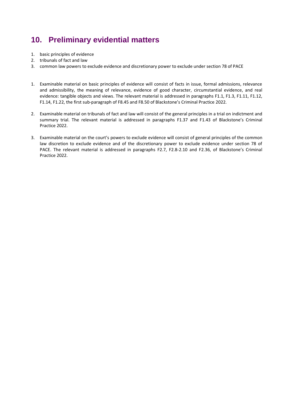## <span id="page-13-0"></span>**10. Preliminary evidential matters**

- 1. basic principles of evidence
- 2. tribunals of fact and law
- 3. common law powers to exclude evidence and discretionary power to exclude under section 78 of PACE
- 1. Examinable material on basic principles of evidence will consist of facts in issue, formal admissions, relevance and admissibility, the meaning of relevance, evidence of good character, circumstantial evidence, and real evidence: tangible objects and views. The relevant material is addressed in paragraphs F1.1, F1.3, F1.11, F1.12, F1.14, F1.22, the first sub-paragraph of F8.45 and F8.50 of Blackstone's Criminal Practice 2022.
- 2. Examinable material on tribunals of fact and law will consist of the general principles in a trial on indictment and summary trial. The relevant material is addressed in paragraphs F1.37 and F1.43 of Blackstone's Criminal Practice 2022.
- 3. Examinable material on the court's powers to exclude evidence will consist of general principles of the common law discretion to exclude evidence and of the discretionary power to exclude evidence under section 78 of PACE. The relevant material is addressed in paragraphs F2.7, F2.8-2.10 and F2.36, of Blackstone's Criminal Practice 2022.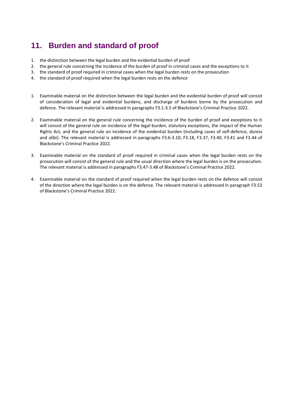## <span id="page-14-0"></span>**11. Burden and standard of proof**

- 1. the distinction between the legal burden and the evidential burden of proof
- 2. the general rule concerning the incidence of the burden of proof in criminal cases and the exceptions to it
- 3. the standard of proof required in criminal cases when the legal burden rests on the prosecution
- 4. the standard of proof required when the legal burden rests on the defence
- 1. Examinable material on the distinction between the legal burden and the evidential burden of proof will consist of consideration of legal and evidential burdens, and discharge of burdens borne by the prosecution and defence. The relevant material is addressed in paragraphs F3.1-3.5 of Blackstone's Criminal Practice 2022.
- 2. Examinable material on the general rule concerning the incidence of the burden of proof and exceptions to it will consist of the general rule on incidence of the legal burden, statutory exceptions, the impact of the Human Rights Act, and the general rule on incidence of the evidential burden (including cases of self-defence, duress and alibi). The relevant material is addressed in paragraphs F3.6-3.10, F3.18, F3.37, F3.40, F3.41 and F3.44 of Blackstone's Criminal Practice 2022.
- 3. Examinable material on the standard of proof required in criminal cases when the legal burden rests on the prosecution will consist of the general rule and the usual direction where the legal burden is on the prosecution. The relevant material is addressed in paragraphs F3.47-3.48 of Blackstone's Criminal Practice 2022.
- 4. Examinable material on the standard of proof required when the legal burden rests on the defence will consist of the direction where the legal burden is on the defence. The relevant material is addressed in paragraph F3.53 of Blackstone's Criminal Practice 2022.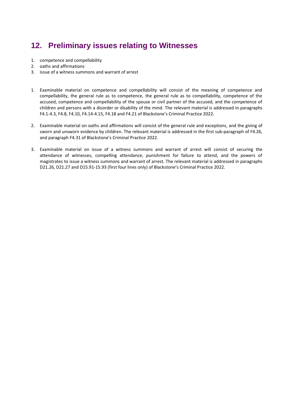## <span id="page-15-0"></span>**12. Preliminary issues relating to Witnesses**

- 1. competence and compellability
- 2. oaths and affirmations
- 3. issue of a witness summons and warrant of arrest
- 1. Examinable material on competence and compellability will consist of the meaning of competence and compellability, the general rule as to competence, the general rule as to compellability, competence of the accused, competence and compellability of the spouse or civil partner of the accused, and the competence of children and persons with a disorder or disability of the mind. The relevant material is addressed in paragraphs F4.1-4.3, F4.8, F4.10, F4.14-4.15, F4.18 and F4.21 of Blackstone's Criminal Practice 2022.
- 2. Examinable material on oaths and affirmations will consist of the general rule and exceptions, and the giving of sworn and unsworn evidence by children. The relevant material is addressed in the first sub-paragraph of F4.26, and paragraph F4.31 of Blackstone's Criminal Practice 2022.
- 3. Examinable material on issue of a witness summons and warrant of arrest will consist of securing the attendance of witnesses, compelling attendance, punishment for failure to attend, and the powers of magistrates to issue a witness summons and warrant of arrest. The relevant material is addressed in paragraphs D21.26, D21.27 and D15.91-15.93 (first four lines only) of Blackstone's Criminal Practice 2022.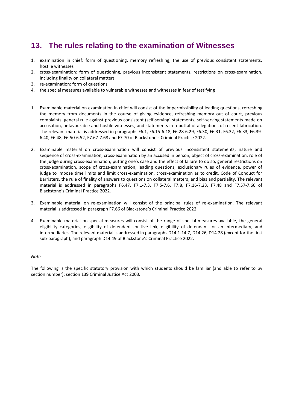### <span id="page-16-0"></span>**13. The rules relating to the examination of Witnesses**

- 1. examination in chief: form of questioning, memory refreshing, the use of previous consistent statements, hostile witnesses
- 2. cross-examination: form of questioning, previous inconsistent statements, restrictions on cross-examination, including finality on collateral matters
- 3. re-examination: form of questions
- 4. the special measures available to vulnerable witnesses and witnesses in fear of testifying
- 1. Examinable material on examination in chief will consist of the impermissibility of leading questions, refreshing the memory from documents in the course of giving evidence, refreshing memory out of court, previous complaints, general rule against previous consistent (self-serving) statements, self-serving statements made on accusation, unfavourable and hostile witnesses, and statements in rebuttal of allegations of recent fabrication. The relevant material is addressed in paragraphs F6.1, F6.15-6.18, F6.28-6.29, F6.30, F6.31, F6.32, F6.33, F6.39- 6.40, F6.48, F6.50-6.52, F7.67-7.68 and F7.70 of Blackstone's Criminal Practice 2022.
- 2. Examinable material on cross-examination will consist of previous inconsistent statements, nature and sequence of cross-examination, cross-examination by an accused in person, object of cross-examination, role of the judge during cross-examination, putting one's case and the effect of failure to do so, general restrictions on cross-examination, scope of cross-examination, leading questions, exclusionary rules of evidence, power of judge to impose time limits and limit cross-examination, cross-examination as to credit, Code of Conduct for Barristers, the rule of finality of answers to questions on collateral matters, and bias and partiality. The relevant material is addressed in paragraphs F6.47, F7.1-7.3, F7.5-7.6, F7.8, F7.16-7.23, F7.48 and F7.57-7.60 of Blackstone's Criminal Practice 2022.
- 3. Examinable material on re-examination will consist of the principal rules of re-examination. The relevant material is addressed in paragraph F7.66 of Blackstone's Criminal Practice 2022.
- 4. Examinable material on special measures will consist of the range of special measures available, the general eligibility categories, eligibility of defendant for live link, eligibility of defendant for an intermediary, and intermediaries. The relevant material is addressed in paragraphs D14.1-14.7, D14.26, D14.28 (except for the first sub-paragraph), and paragraph D14.49 of Blackstone's Criminal Practice 2022.

#### *Note*

The following is the specific statutory provision with which students should be familiar (and able to refer to by section number): section 139 Criminal Justice Act 2003.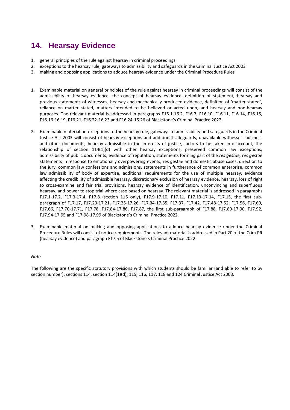## <span id="page-17-0"></span>**14. Hearsay Evidence**

- 1. general principles of the rule against hearsay in criminal proceedings
- 2. exceptions to the hearsay rule, gateways to admissibility and safeguards in the Criminal Justice Act 2003
- 3. making and opposing applications to adduce hearsay evidence under the Criminal Procedure Rules
- 1. Examinable material on general principles of the rule against hearsay in criminal proceedings will consist of the admissibility of hearsay evidence, the concept of hearsay evidence, definition of statement, hearsay and previous statements of witnesses, hearsay and mechanically produced evidence, definition of 'matter stated', reliance on matter stated, matters intended to be believed or acted upon, and hearsay and non-hearsay purposes. The relevant material is addressed in paragraphs F16.1-16.2, F16.7, F16.10, F16.11, F16.14, F16.15, F16.16-16.19, F16.21, F16.22-16.23 and F16.24-16.26 of Blackstone's Criminal Practice 2022.
- 2. Examinable material on exceptions to the hearsay rule, gateways to admissibility and safeguards in the Criminal Justice Act 2003 will consist of hearsay exceptions and additional safeguards, unavailable witnesses, business and other documents, hearsay admissible in the interests of justice, factors to be taken into account, the relationship of section 114(1)(d) with other hearsay exceptions, preserved common law exceptions, admissibility of public documents, evidence of reputation, statements forming part of the *res gestae, res gestae*  statements in response to emotionally overpowering events, res gestae and domestic abuse cases, direction to the jury, common law confessions and admissions, statements in furtherance of common enterprise, common law admissibility of body of expertise, additional requirements for the use of multiple hearsay, evidence affecting the credibility of admissible hearsay, discretionary exclusion of hearsay evidence, hearsay, loss of right to cross-examine and fair trial provisions, hearsay evidence of identification, unconvincing and superfluous hearsay, and power to stop trial where case based on hearsay. The relevant material is addressed in paragraphs F17.1-17.2, F17.3-17.4, F17.8 (section 116 only), F17.9-17.10, F17.11, F17.13-17.14, F17.15, the first subparagraph of F17.17, F17.20-17.21, F17.25-17.26, F17.34-17.35, F17.37, F17.42, F17.48-17.52, F17.56, F17.60, F17.66, F17.70-17.71, F17.78, F17.84-17.86, F17.87, the first sub-paragraph of F17.88, F17.89-17.90, F17.92, F17.94-17.95 and F17.98-17.99 of Blackstone's Criminal Practice 2022.
- 3. Examinable material on making and opposing applications to adduce hearsay evidence under the Criminal Procedure Rules will consist of notice requirements. The relevant material is addressed in Part 20 of the Crim PR (hearsay evidence) and paragraph F17.5 of Blackstone's Criminal Practice 2022.

#### *Note*

The following are the specific statutory provisions with which students should be familiar (and able to refer to by section number): sections 114, section 114(1)(d), 115, 116, 117, 118 and 124 Criminal Justice Act 2003.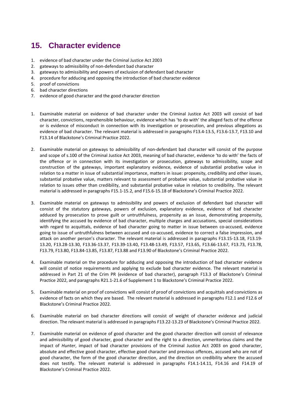## <span id="page-18-0"></span>**15. Character evidence**

- 1. evidence of bad character under the Criminal Justice Act 2003
- 2. gateways to admissibility of non-defendant bad character
- 3. gateways to admissibility and powers of exclusion of defendant bad character
- 4. procedure for adducing and opposing the introduction of bad character evidence
- 5. proof of convictions
- 6. bad character directions
- 7. evidence of good character and the good character direction
- 1. Examinable material on evidence of bad character under the Criminal Justice Act 2003 will consist of bad character, convictions, reprehensible behaviour, evidence which has 'to do with' the alleged facts of the offence or is evidence of misconduct in connection with its investigation or prosecution, and previous allegations as evidence of bad character. The relevant material is addressed in paragraphs F13.4-13.5, F13.6-13.7, F13.10 and F13.14 of Blackstone's Criminal Practice 2022.
- 2. Examinable material on gateways to admissibility of non-defendant bad character will consist of the purpose and scope of s.100 of the Criminal Justice Act 2003, meaning of bad character, evidence 'to do with' the facts of the offence or in connection with its investigation or prosecution, gateways to admissibility, scope and construction of the gateways, important explanatory evidence, evidence of substantial probative value in relation to a matter in issue of substantial importance, matters in issue: propensity, credibility and other issues, substantial probative value, matters relevant to assessment of probative value, substantial probative value in relation to issues other than credibility, and substantial probative value in relation to credibility. The relevant material is addressed in paragraphs F15.1-15.2, and F15.6-15.18 of Blackstone's Criminal Practice 2022.
- 3. Examinable material on gateways to admissibility and powers of exclusion of defendant bad character will consist of the statutory gateways, powers of exclusion, explanatory evidence, evidence of bad character adduced by prosecution to prove guilt or untruthfulness, propensity as an issue, demonstrating propensity, identifying the accused by evidence of bad character, multiple charges and accusations, special considerations with regard to acquittals, evidence of bad character going to matter in issue between co-accused, evidence going to issue of untruthfulness between accused and co-accused, evidence to correct a false impression, and attack on another person's character. The relevant material is addressed in paragraphs F13.15-13.18, F13.19- 13.20, F13.28-13.30, F13.36-13.37, F13.39-13.40, F13.48-13.49, F13.57, F13.65, F13.66-13.67, F13.73, F13.78, F13.79, F13.80, F13.84-13.85, F13.87, F13.88 and F13.90 of Blackstone's Criminal Practice 2022.
- 4. Examinable material on the procedure for adducing and opposing the introduction of bad character evidence will consist of notice requirements and applying to exclude bad character evidence. The relevant material is addressed in Part 21 of the Crim PR (evidence of bad character), paragraph F13.3 of Blackstone's Criminal Practice 2022, and paragraphs R21.1-21.6 of Supplement 1 to Blackstone's Criminal Practice 2022.
- 5. Examinable material on proof of convictions will consist of proof of convictions and acquittals and convictions as evidence of facts on which they are based. The relevant material is addressed in paragraphs F12.1 and F12.6 of Blackstone's Criminal Practice 2022.
- 6. Examinable material on bad character directions will consist of weight of character evidence and judicial direction. The relevant material is addressed in paragraphs F13.22-13.23 of Blackstone's Criminal Practice 2022.
- 7. Examinable material on evidence of good character and the good character direction will consist of relevance and admissibility of good character, good character and the right to a direction, unmeritorious claims and the impact of *Hunter*, impact of bad character provisions of the Criminal Justice Act 2003 on good character, absolute and effective good character, effective good character and previous offences, accused who are not of good character, the form of the good character direction, and the direction on credibility where the accused does not testify. The relevant material is addressed in paragraphs F14.1-14.11, F14.16 and F14.19 of Blackstone's Criminal Practice 2022.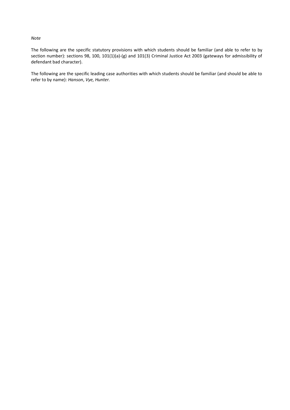#### *Note*

The following are the specific statutory provisions with which students should be familiar (and able to refer to by section number): sections 98, 100, 101(1)(a)-(g) and 101(3) Criminal Justice Act 2003 (gateways for admissibility of defendant bad character).

The following are the specific leading case authorities with which students should be familiar (and should be able to refer to by name): *Hanson*, *Vye, Hunter.*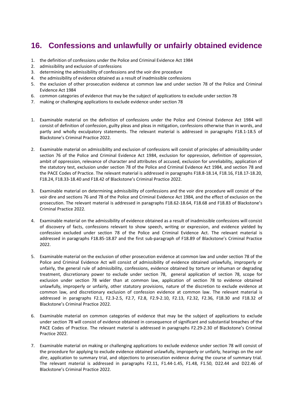## <span id="page-20-0"></span>**16. Confessions and unlawfully or unfairly obtained evidence**

- 1. the definition of confessions under the Police and Criminal Evidence Act 1984
- 2. admissibility and exclusion of confessions
- 3. determining the admissibility of confessions and the voir dire procedure
- 4. the admissibility of evidence obtained as a result of inadmissible confessions
- 5. the exclusion of other prosecution evidence at common law and under section 78 of the Police and Criminal Evidence Act 1984
- 6. common categories of evidence that may be the subject of applications to exclude under section 78
- 7. making or challenging applications to exclude evidence under section 78
- 1. Examinable material on the definition of confessions under the Police and Criminal Evidence Act 1984 will consist of definition of confession, guilty pleas and pleas in mitigation, confessions otherwise than in words, and partly and wholly exculpatory statements. The relevant material is addressed in paragraphs F18.1-18.5 of Blackstone's Criminal Practice 2022.
- 2. Examinable material on admissibility and exclusion of confessions will consist of principles of admissibility under section 76 of the Police and Criminal Evidence Act 1984, exclusion for oppression, definition of oppression, ambit of oppression, relevance of character and attributes of accused, exclusion for unreliability, application of the statutory test, exclusion under section 78 of the Police and Criminal Evidence Act 1984, and section 78 and the PACE Codes of Practice. The relevant material is addressed in paragraphs F18.8-18.14, F18.16, F18.17-18.20, F18.24, F18.33-18.40 and F18.42 of Blackstone's Criminal Practice 2022.
- 3. Examinable material on determining admissibility of confessions and the voir dire procedure will consist of the voir dire and sections 76 and 78 of the Police and Criminal Evidence Act 1984, and the effect of exclusion on the prosecution. The relevant material is addressed in paragraphs F18.62-18.64, F18.68 and F18.83 of Blackstone's Criminal Practice 2022.
- 4. Examinable material on the admissibility of evidence obtained as a result of inadmissible confessions will consist of discovery of facts, confessions relevant to show speech, writing or expression, and evidence yielded by confession excluded under section 78 of the Police and Criminal Evidence Act. The relevant material is addressed in paragraphs F18.85-18.87 and the first sub-paragraph of F18.89 of Blackstone's Criminal Practice 2022.
- 5. Examinable material on the exclusion of other prosecution evidence at common law and under section 78 of the Police and Criminal Evidence Act will consist of admissibility of evidence obtained unlawfully, improperly or unfairly, the general rule of admissibility, confessions, evidence obtained by torture or inhuman or degrading treatment, discretionary power to exclude under section 78, general application of section 78, scope for exclusion under section 78 wider than at common law, application of section 78 to evidence obtained unlawfully, improperly or unfairly, other statutory provisions, nature of the discretion to exclude evidence at common law, and discretionary exclusion of confession evidence at common law. The relevant material is addressed in paragraphs F2.1, F2.3-2.5, F2.7, F2.8, F2.9-2.10, F2.13, F2.32, F2.36, F18.30 and F18.32 of Blackstone's Criminal Practice 2022.
- 6. Examinable material on common categories of evidence that may be the subject of applications to exclude under section 78 will consist of evidence obtained in consequence of significant and substantial breaches of the PACE Codes of Practice. The relevant material is addressed in paragraphs F2.29-2.30 of Blackstone's Criminal Practice 2022.
- 7. Examinable material on making or challenging applications to exclude evidence under section 78 will consist of the procedure for applying to exclude evidence obtained unlawfully, improperly or unfairly, hearings on the *voir dire*, application to summary trial, and objections to prosecution evidence during the course of summary trial. The relevant material is addressed in paragraphs F2.11, F1.44-1.45, F1.48, F1.50, D22.44 and D22.46 of Blackstone's Criminal Practice 2022.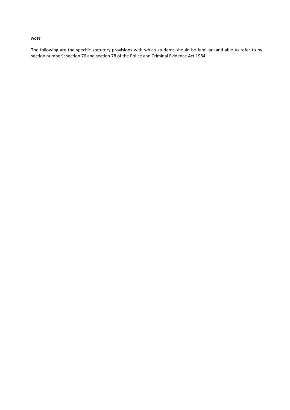#### *Note*

The following are the specific statutory provisions with which students should be familiar (and able to refer to by section number): section 76 and section 78 of the Police and Criminal Evidence Act 1984.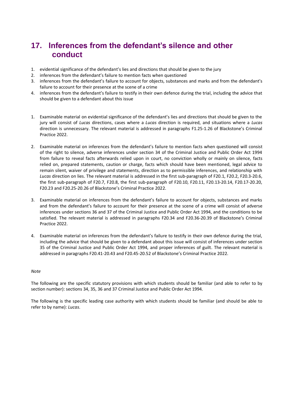### <span id="page-22-0"></span>**17. Inferences from the defendant's silence and other conduct**

- 1. evidential significance of the defendant's lies and directions that should be given to the jury
- 2. inferences from the defendant's failure to mention facts when questioned
- 3. inferences from the defendant's failure to account for objects, substances and marks and from the defendant's failure to account for their presence at the scene of a crime
- 4. inferences from the defendant's failure to testify in their own defence during the trial, including the advice that should be given to a defendant about this issue
- 1. Examinable material on evidential significance of the defendant's lies and directions that should be given to the jury will consist of *Lucas* directions, cases where a *Lucas* direction is required, and situations where a *Lucas*  direction is unnecessary. The relevant material is addressed in paragraphs F1.25-1.26 of Blackstone's Criminal Practice 2022.
- 2. Examinable material on inferences from the defendant's failure to mention facts when questioned will consist of the right to silence, adverse inferences under section 34 of the Criminal Justice and Public Order Act 1994 from failure to reveal facts afterwards relied upon in court, no conviction wholly or mainly on silence, facts relied on, prepared statements, caution or charge, facts which should have been mentioned, legal advice to remain silent, waiver of privilege and statements, direction as to permissible inferences, and relationship with *Lucas* direction on lies. The relevant material is addressed in the first sub-paragraph of F20.1, F20.2, F20.3-20.6, the first sub-paragraph of F20.7, F20.8, the first sub-paragraph of F20.10, F20.11, F20.13-20.14, F20.17-20.20, F20.23 and F20.25-20.26 of Blackstone's Criminal Practice 2022.
- 3. Examinable material on inferences from the defendant's failure to account for objects, substances and marks and from the defendant's failure to account for their presence at the scene of a crime will consist of adverse inferences under sections 36 and 37 of the Criminal Justice and Public Order Act 1994, and the conditions to be satisfied. The relevant material is addressed in paragraphs F20.34 and F20.36-20.39 of Blackstone's Criminal Practice 2022.
- 4. Examinable material on inferences from the defendant's failure to testify in their own defence during the trial, including the advice that should be given to a defendant about this issue will consist of inferences under section 35 of the Criminal Justice and Public Order Act 1994, and proper inferences of guilt. The relevant material is addressed in paragraphs F20.41-20.43 and F20.45-20.52 of Blackstone's Criminal Practice 2022.

#### *Note*

The following are the specific statutory provisions with which students should be familiar (and able to refer to by section number): sections 34, 35, 36 and 37 Criminal Justice and Public Order Act 1994.

The following is the specific leading case authority with which students should be familiar (and should be able to refer to by name): *Lucas.*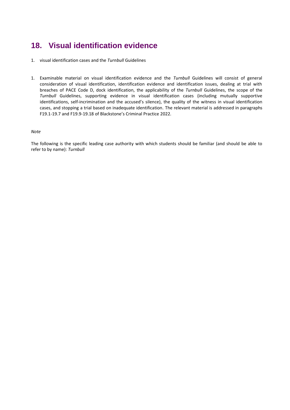## <span id="page-23-0"></span>**18. Visual identification evidence**

- 1. visual identification cases and the *Turnbull* Guidelines
- 1. Examinable material on visual identification evidence and the *Turnbull* Guidelines will consist of general consideration of visual identification, identification evidence and identification issues, dealing at trial with breaches of PACE Code D, dock identification, the applicability of the *Turnbull* Guidelines, the scope of the *Turnbull* Guidelines, supporting evidence in visual identification cases (including mutually supportive identifications, self-incrimination and the accused's silence), the quality of the witness in visual identification cases, and stopping a trial based on inadequate identification. The relevant material is addressed in paragraphs F19.1-19.7 and F19.9-19.18 of Blackstone's Criminal Practice 2022.

#### *Note*

The following is the specific leading case authority with which students should be familiar (and should be able to refer to by name): *Turnbull*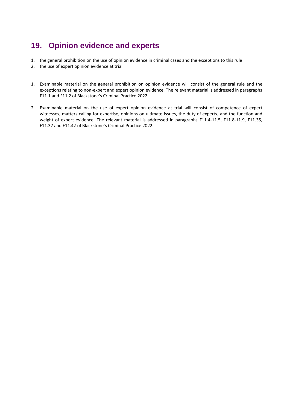## <span id="page-24-0"></span>**19. Opinion evidence and experts**

- 1. the general prohibition on the use of opinion evidence in criminal cases and the exceptions to this rule
- 2. the use of expert opinion evidence at trial
- 1. Examinable material on the general prohibition on opinion evidence will consist of the general rule and the exceptions relating to non-expert and expert opinion evidence. The relevant material is addressed in paragraphs F11.1 and F11.2 of Blackstone's Criminal Practice 2022.
- 2. Examinable material on the use of expert opinion evidence at trial will consist of competence of expert witnesses, matters calling for expertise, opinions on ultimate issues, the duty of experts, and the function and weight of expert evidence. The relevant material is addressed in paragraphs F11.4-11.5, F11.8-11.9, F11.35, F11.37 and F11.42 of Blackstone's Criminal Practice 2022.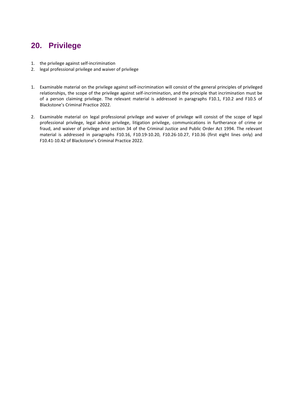### <span id="page-25-0"></span>**20. Privilege**

- 1. the privilege against self-incrimination
- 2. legal professional privilege and waiver of privilege
- 1. Examinable material on the privilege against self-incrimination will consist of the general principles of privileged relationships, the scope of the privilege against self-incrimination, and the principle that incrimination must be of a person claiming privilege. The relevant material is addressed in paragraphs F10.1, F10.2 and F10.5 of Blackstone's Criminal Practice 2022.
- 2. Examinable material on legal professional privilege and waiver of privilege will consist of the scope of legal professional privilege, legal advice privilege, litigation privilege, communications in furtherance of crime or fraud, and waiver of privilege and section 34 of the Criminal Justice and Public Order Act 1994. The relevant material is addressed in paragraphs F10.16, F10.19-10.20, F10.26-10.27, F10.36 (first eight lines only) and F10.41-10.42 of Blackstone's Criminal Practice 2022.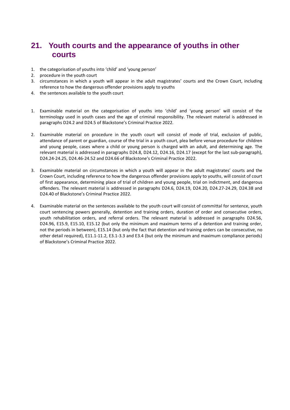### <span id="page-26-0"></span>**21. Youth courts and the appearance of youths in other courts**

- 1. the categorisation of youths into 'child' and 'young person'
- 2. procedure in the youth court
- 3. circumstances in which a youth will appear in the adult magistrates' courts and the Crown Court, including reference to how the dangerous offender provisions apply to youths
- 4. the sentences available to the youth court
- 1. Examinable material on the categorisation of youths into 'child' and 'young person' will consist of the terminology used in youth cases and the age of criminal responsibility. The relevant material is addressed in paragraphs D24.2 and D24.5 of Blackstone's Criminal Practice 2022.
- 2. Examinable material on procedure in the youth court will consist of mode of trial, exclusion of public, attendance of parent or guardian, course of the trial in a youth court, plea before venue procedure for children and young people, cases where a child or young person is charged with an adult, and determining age. The relevant material is addressed in paragraphs D24.8, D24.12, D24.16, D24.17 (except for the last sub-paragraph), D24.24-24.25, D24.46-24.52 and D24.66 of Blackstone's Criminal Practice 2022.
- 3. Examinable material on circumstances in which a youth will appear in the adult magistrates' courts and the Crown Court, including reference to how the dangerous offender provisions apply to youths, will consist of court of first appearance, determining place of trial of children and young people, trial on indictment, and dangerous offenders. The relevant material is addressed in paragraphs D24.6, D24.19, D24.20, D24.27-24.29, D24.38 and D24.40 of Blackstone's Criminal Practice 2022.
- 4. Examinable material on the sentences available to the youth court will consist of committal for sentence, youth court sentencing powers generally, detention and training orders, duration of order and consecutive orders, youth rehabilitation orders, and referral orders. The relevant material is addressed in paragraphs D24.56, D24.96, E15.9, E15.10, E15.12 (but only the minimum and maximum terms of a detention and training order, not the periods in between), E15.14 (but only the fact that detention and training orders can be consecutive, no other detail required), E11.1-11.2, E3.1-3.3 and E3.4 (but only the minimum and maximum compliance periods) of Blackstone's Criminal Practice 2022.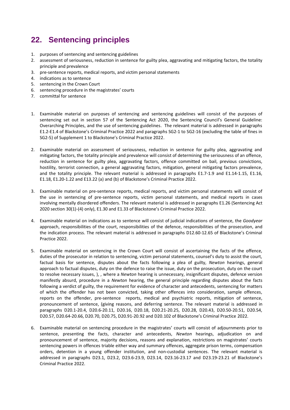### <span id="page-27-0"></span>**22. Sentencing principles**

- 1. purposes of sentencing and sentencing guidelines
- 2. assessment of seriousness, reduction in sentence for guilty plea, aggravating and mitigating factors, the totality principle and prevalence
- 3. pre-sentence reports, medical reports, and victim personal statements
- 4. indications as to sentence
- 5. sentencing in the Crown Court
- 6. sentencing procedure in the magistrates' courts
- 7. committal for sentence
- 1. Examinable material on purposes of sentencing and sentencing guidelines will consist of the purposes of sentencing set out in section 57 of the Sentencing Act 2020, the Sentencing Council's General Guideline: Overarching Principles, and the use of sentencing guidelines. The relevant material is addressed in paragraphs E1.2-E1.4 of Blackstone's Criminal Practice 2022 and paragraphs SG2-1 to SG2-16 (excluding the table of fines in SG2-5) of Supplement 1 to Blackstone's Criminal Practice 2022.
- 2. Examinable material on assessment of seriousness, reduction in sentence for guilty plea, aggravating and mitigating factors, the totality principle and prevalence will consist of determining the seriousness of an offence, reduction in sentence for guilty plea, aggravating factors, offence committed on bail, previous convictions, hostility, terrorist connection, a general aggravating factors, mitigation, general mitigating factors prevalence, and the totality principle. The relevant material is addressed in paragraphs E1.7-1.9 and E1.14-1.15, E1.16, E1.18, E1.20-1.22 and E13.22 (a) and (b) of Blackstone's Criminal Practice 2022.
- 3. Examinable material on pre-sentence reports, medical reports, and victim personal statements will consist of the use in sentencing of pre-sentence reports, victim personal statements, and medical reports in cases involving mentally disordered offenders. The relevant material is addressed in paragraphs E1.26 (Sentencing Act 2020 section 30(1)-(4) only), E1.30 and E1.33 of Blackstone's Criminal Practice 2022.
- 4. Examinable material on indications as to sentence will consist of judicial indications of sentence, the *Goodyear* approach, responsibilities of the court, responsibilities of the defence, responsibilities of the prosecution, and the indication process. The relevant material is addressed in paragraphs D12.60-12.65 of Blackstone's Criminal Practice 2022.
- 5. Examinable material on sentencing in the Crown Court will consist of ascertaining the facts of the offence, duties of the prosecutor in relation to sentencing, victim personal statements, counsel's duty to assist the court, factual basis for sentence, disputes about the facts following a plea of guilty, *Newton* hearings, general approach to factual disputes, duty on the defence to raise the issue, duty on the prosecution, duty on the court to resolve necessary issues, ), , where a *Newton* hearing is unnecessary, insignificant disputes, defence version manifestly absurd, procedure in a *Newton* hearing, the general principle regarding disputes about the facts following a verdict of guilty, the requirement for evidence of character and antecedents, sentencing for matters of which the offender has not been convicted, taking other offences into consideration, sample offences, reports on the offender, pre-sentence reports, medical and psychiatric reports, mitigation of sentence, pronouncement of sentence, (giving reasons, and deferring sentence. The relevant material is addressed in paragraphs D20.1-20.4, D20.6-20.11, D20.16, D20.18, D20.21-20.25, D20.28, D20.43, D20.50-20.51, D20.54, D20.57, D20.64-20.66, D20.70, D20.75, D20.91-20.92 and D20.102 of Blackstone's Criminal Practice 2022.
- 6. Examinable material on sentencing procedure in the magistrates' courts will consist of adjournments prior to sentence, presenting the facts, character and antecedents, *Newton* hearings, adjudication on and pronouncement of sentence, majority decisions, reasons and explanation, restrictions on magistrates' courts sentencing powers in offences triable either way and summary offences, aggregate prison terms, compensation orders, detention in a young offender institution, and non-custodial sentences. The relevant material is addressed in paragraphs D23.1, D23.2, D23.6-23.9, D23.14, D23.16-23.17 and D23.19-23.21 of Blackstone's Criminal Practice 2022.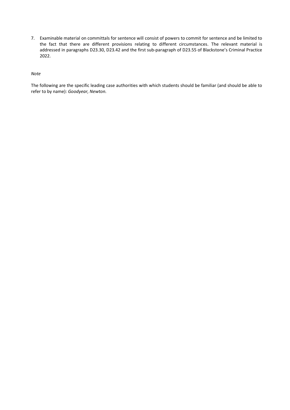7. Examinable material on committals for sentence will consist of powers to commit for sentence and be limited to the fact that there are different provisions relating to different circumstances. The relevant material is addressed in paragraphs D23.30, D23.42 and the first sub-paragraph of D23.55 of Blackstone's Criminal Practice 2022.

#### *Note*

The following are the specific leading case authorities with which students should be familiar (and should be able to refer to by name): *Goodyear, Newton.*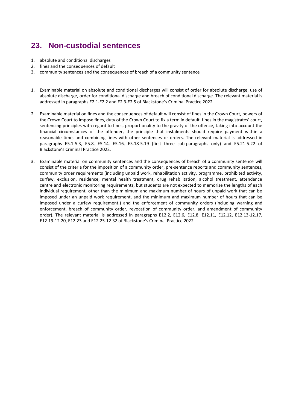### <span id="page-29-0"></span>**23. Non-custodial sentences**

- 1. absolute and conditional discharges
- 2. fines and the consequences of default
- 3. community sentences and the consequences of breach of a community sentence
- 1. Examinable material on absolute and conditional discharges will consist of order for absolute discharge, use of absolute discharge, order for conditional discharge and breach of conditional discharge. The relevant material is addressed in paragraphs E2.1-E2.2 and E2.3-E2.5 of Blackstone's Criminal Practice 2022.
- 2. Examinable material on fines and the consequences of default will consist of fines in the Crown Court, powers of the Crown Court to impose fines, duty of the Crown Court to fix a term in default, fines in the magistrates' court, sentencing principles with regard to fines, proportionality to the gravity of the offence, taking into account the financial circumstances of the offender, the principle that instalments should require payment within a reasonable time, and combining fines with other sentences or orders. The relevant material is addressed in paragraphs E5.1-5.3, E5.8, E5.14, E5.16, E5.18-5.19 (first three sub-paragraphs only) and E5.21-5.22 of Blackstone's Criminal Practice 2022.
- 3. Examinable material on community sentences and the consequences of breach of a community sentence will consist of the criteria for the imposition of a community order, pre-sentence reports and community sentences, community order requirements (including unpaid work, rehabilitation activity, programme, prohibited activity, curfew, exclusion, residence, mental health treatment, drug rehabilitation, alcohol treatment, attendance centre and electronic monitoring requirements, but students are not expected to memorise the lengths of each individual requirement, other than the minimum and maximum number of hours of unpaid work that can be imposed under an unpaid work requirement, and the minimum and maximum number of hours that can be imposed under a curfew requirement,) and the enforcement of community orders (including warning and enforcement, breach of community order, revocation of community order, and amendment of community order). The relevant material is addressed in paragraphs E12.2, E12.6, E12.8, E12.11, E12.12, E12.13-12.17, E12.19-12.20, E12.23 and E12.25-12.32 of Blackstone's Criminal Practice 2022.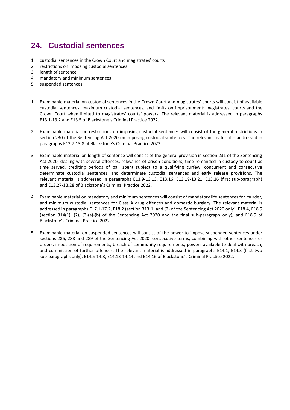## <span id="page-30-0"></span>**24. Custodial sentences**

- 1. custodial sentences in the Crown Court and magistrates' courts
- 2. restrictions on imposing custodial sentences
- 3. length of sentence
- 4. mandatory and minimum sentences
- 5. suspended sentences
- 1. Examinable material on custodial sentences in the Crown Court and magistrates' courts will consist of available custodial sentences, maximum custodial sentences, and limits on imprisonment: magistrates' courts and the Crown Court when limited to magistrates' courts' powers. The relevant material is addressed in paragraphs E13.1-13.2 and E13.5 of Blackstone's Criminal Practice 2022.
- 2. Examinable material on restrictions on imposing custodial sentences will consist of the general restrictions in section 230 of the Sentencing Act 2020 on imposing custodial sentences. The relevant material is addressed in paragraphs E13.7-13.8 of Blackstone's Criminal Practice 2022.
- 3. Examinable material on length of sentence will consist of the general provision in section 231 of the Sentencing Act 2020, dealing with several offences, relevance of prison conditions, time remanded in custody to count as time served, crediting periods of bail spent subject to a qualifying curfew, concurrent and consecutive determinate custodial sentences, and determinate custodial sentences and early release provisions. The relevant material is addressed in paragraphs E13.9-13.13, E13.16, E13.19-13.21, E13.26 (first sub-paragraph) and E13.27-13.28 of Blackstone's Criminal Practice 2022.
- 4. Examinable material on mandatory and minimum sentences will consist of mandatory life sentences for murder, and minimum custodial sentences for Class A drug offences and domestic burglary. The relevant material is addressed in paragraphs E17.1-17.2, E18.2 (section 313(1) and (2) of the Sentencing Act 2020 only), E18.4, E18.5 (section 314(1), (2), (3)(a)-(b) of the Sentencing Act 2020 and the final sub-paragraph only), and E18.9 of Blackstone's Criminal Practice 2022.
- 5. Examinable material on suspended sentences will consist of the power to impose suspended sentences under sections 286, 288 and 289 of the Sentencing Act 2020, consecutive terms, combining with other sentences or orders, imposition of requirements, breach of community requirements, powers available to deal with breach, and commission of further offences. The relevant material is addressed in paragraphs E14.1, E14.3 (first two sub-paragraphs only), E14.5-14.8, E14.13-14.14 and E14.16 of Blackstone's Criminal Practice 2022.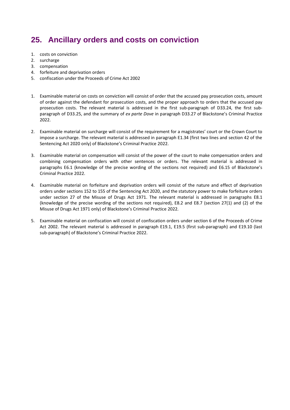## <span id="page-31-0"></span>**25. Ancillary orders and costs on conviction**

- 1. costs on conviction
- 2. surcharge
- 3. compensation
- 4. forfeiture and deprivation orders
- 5. confiscation under the Proceeds of Crime Act 2002
- 1. Examinable material on costs on conviction will consist of order that the accused pay prosecution costs, amount of order against the defendant for prosecution costs, and the proper approach to orders that the accused pay prosecution costs. The relevant material is addressed in the first sub-paragraph of D33.24, the first subparagraph of D33.25, and the summary of *ex parte Dove* in paragraph D33.27 of Blackstone's Criminal Practice 2022.
- 2. Examinable material on surcharge will consist of the requirement for a magistrates' court or the Crown Court to impose a surcharge. The relevant material is addressed in paragraph E1.34 (first two lines and section 42 of the Sentencing Act 2020 only) of Blackstone's Criminal Practice 2022.
- 3. Examinable material on compensation will consist of the power of the court to make compensation orders and combining compensation orders with other sentences or orders. The relevant material is addressed in paragraphs E6.1 (knowledge of the precise wording of the sections not required) and E6.15 of Blackstone's Criminal Practice 2022.
- 4. Examinable material on forfeiture and deprivation orders will consist of the nature and effect of deprivation orders under sections 152 to 155 of the Sentencing Act 2020, and the statutory power to make forfeiture orders under section 27 of the Misuse of Drugs Act 1971. The relevant material is addressed in paragraphs E8.1 (knowledge of the precise wording of the sections not required), E8.2 and E8.7 (section 27(1) and (2) of the Misuse of Drugs Act 1971 only) of Blackstone's Criminal Practice 2022.
- 5. Examinable material on confiscation will consist of confiscation orders under section 6 of the Proceeds of Crime Act 2002. The relevant material is addressed in paragraph E19.1, E19.5 (first sub-paragraph) and E19.10 (last sub-paragraph) of Blackstone's Criminal Practice 2022.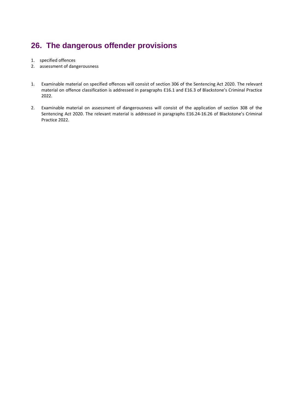## <span id="page-32-0"></span>**26. The dangerous offender provisions**

- 1. specified offences
- 2. assessment of dangerousness
- 1. Examinable material on specified offences will consist of section 306 of the Sentencing Act 2020. The relevant material on offence classification is addressed in paragraphs E16.1 and E16.3 of Blackstone's Criminal Practice 2022.
- 2. Examinable material on assessment of dangerousness will consist of the application of section 308 of the Sentencing Act 2020. The relevant material is addressed in paragraphs E16.24-16.26 of Blackstone's Criminal Practice 2022.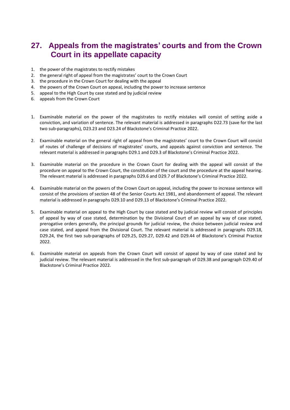### <span id="page-33-0"></span>**27. Appeals from the magistrates' courts and from the Crown Court in its appellate capacity**

- 1. the power of the magistrates to rectify mistakes
- 2. the general right of appeal from the magistrates' court to the Crown Court
- 3. the procedure in the Crown Court for dealing with the appeal
- 4. the powers of the Crown Court on appeal, including the power to increase sentence
- 5. appeal to the High Court by case stated and by judicial review
- 6. appeals from the Crown Court
- 1. Examinable material on the power of the magistrates to rectify mistakes will consist of setting aside a conviction, and variation of sentence. The relevant material is addressed in paragraphs D22.73 (save for the last two sub-paragraphs), D23.23 and D23.24 of Blackstone's Criminal Practice 2022.
- 2. Examinable material on the general right of appeal from the magistrates' court to the Crown Court will consist of routes of challenge of decisions of magistrates' courts, and appeals against conviction and sentence. The relevant material is addressed in paragraphs D29.1 and D29.3 of Blackstone's Criminal Practice 2022.
- 3. Examinable material on the procedure in the Crown Court for dealing with the appeal will consist of the procedure on appeal to the Crown Court, the constitution of the court and the procedure at the appeal hearing. The relevant material is addressed in paragraphs D29.6 and D29.7 of Blackstone's Criminal Practice 2022.
- 4. Examinable material on the powers of the Crown Court on appeal, including the power to increase sentence will consist of the provisions of section 48 of the Senior Courts Act 1981, and abandonment of appeal. The relevant material is addressed in paragraphs D29.10 and D29.13 of Blackstone's Criminal Practice 2022.
- 5. Examinable material on appeal to the High Court by case stated and by judicial review will consist of principles of appeal by way of case stated, determination by the Divisional Court of an appeal by way of case stated, prerogative orders generally, the principal grounds for judicial review, the choice between judicial review and case stated, and appeal from the Divisional Court. The relevant material is addressed in paragraphs D29.18, D29.24, the first two sub-paragraphs of D29.25, D29.27, D29.42 and D29.44 of Blackstone's Criminal Practice 2022.
- 6. Examinable material on appeals from the Crown Court will consist of appeal by way of case stated and by judicial review. The relevant material is addressed in the first sub-paragraph of D29.38 and paragraph D29.40 of Blackstone's Criminal Practice 2022.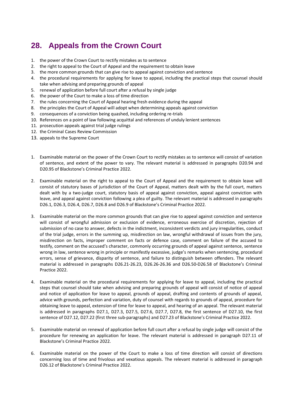## <span id="page-34-0"></span>**28. Appeals from the Crown Court**

- 1. the power of the Crown Court to rectify mistakes as to sentence
- 2. the right to appeal to the Court of Appeal and the requirement to obtain leave
- 3. the more common grounds that can give rise to appeal against conviction and sentence
- 4. the procedural requirements for applying for leave to appeal, including the practical steps that counsel should take when advising and preparing grounds of appeal
- 5. renewal of application before full court after a refusal by single judge
- 6. the power of the Court to make a loss of time direction
- 7. the rules concerning the Court of Appeal hearing fresh evidence during the appeal
- 8. the principles the Court of Appeal will adopt when determining appeals against conviction
- 9. consequences of a conviction being quashed, including ordering re-trials
- 10. References on a point of law following acquittal and references of unduly lenient sentences
- 11. prosecution appeals against trial judge rulings
- 12. the Criminal Cases Review Commission
- 13. appeals to the Supreme Court
- 1. Examinable material on the power of the Crown Court to rectify mistakes as to sentence will consist of variation of sentence, and extent of the power to vary. The relevant material is addressed in paragraphs D20.94 and D20.95 of Blackstone's Criminal Practice 2022.
- 2. Examinable material on the right to appeal to the Court of Appeal and the requirement to obtain leave will consist of statutory bases of jurisdiction of the Court of Appeal, matters dealt with by the full court, matters dealt with by a two-judge court, statutory basis of appeal against conviction, appeal against conviction with leave, and appeal against conviction following a plea of guilty. The relevant material is addressed in paragraphs D26.1, D26.3, D26.4, D26.7, D26.8 and D26.9 of Blackstone's Criminal Practice 2022.
- 3. Examinable material on the more common grounds that can give rise to appeal against conviction and sentence will consist of wrongful admission or exclusion of evidence, erroneous exercise of discretion, rejection of submission of no case to answer, defects in the indictment, inconsistent verdicts and jury irregularities, conduct of the trial judge, errors in the summing up, misdirection on law, wrongful withdrawal of issues from the jury, misdirection on facts, improper comment on facts or defence case, comment on failure of the accused to testify, comment on the accused's character, commonly occurring grounds of appeal against sentence, sentence wrong in law, sentence wrong in principle or manifestly excessive, judge's remarks when sentencing, procedural errors, sense of grievance, disparity of sentence, and failure to distinguish between offenders. The relevant material is addressed in paragraphs D26.21-26.23, D26.26-26.36 and D26.50-D26.58 of Blackstone's Criminal Practice 2022.
- 4. Examinable material on the procedural requirements for applying for leave to appeal, including the practical steps that counsel should take when advising and preparing grounds of appeal will consist of notice of appeal and notice of application for leave to appeal, grounds of appeal, drafting and contents of grounds of appeal, advice with grounds, perfection and variation, duty of counsel with regards to grounds of appeal, procedure for obtaining leave to appeal, extension of time for leave to appeal, and hearing of an appeal. The relevant material is addressed in paragraphs D27.1, D27.3, D27.5, D27.6, D27.7, D27.8, the first sentence of D27.10, the first sentence of D27.12, D27.22 (first three sub-paragraphs) and D27.23 of Blackstone's Criminal Practice 2022.
- 5. Examinable material on renewal of application before full court after a refusal by single judge will consist of the procedure for renewing an application for leave. The relevant material is addressed in paragraph D27.11 of Blackstone's Criminal Practice 2022.
- 6. Examinable material on the power of the Court to make a loss of time direction will consist of directions concerning loss of time and frivolous and vexatious appeals. The relevant material is addressed in paragraph D26.12 of Blackstone's Criminal Practice 2022.